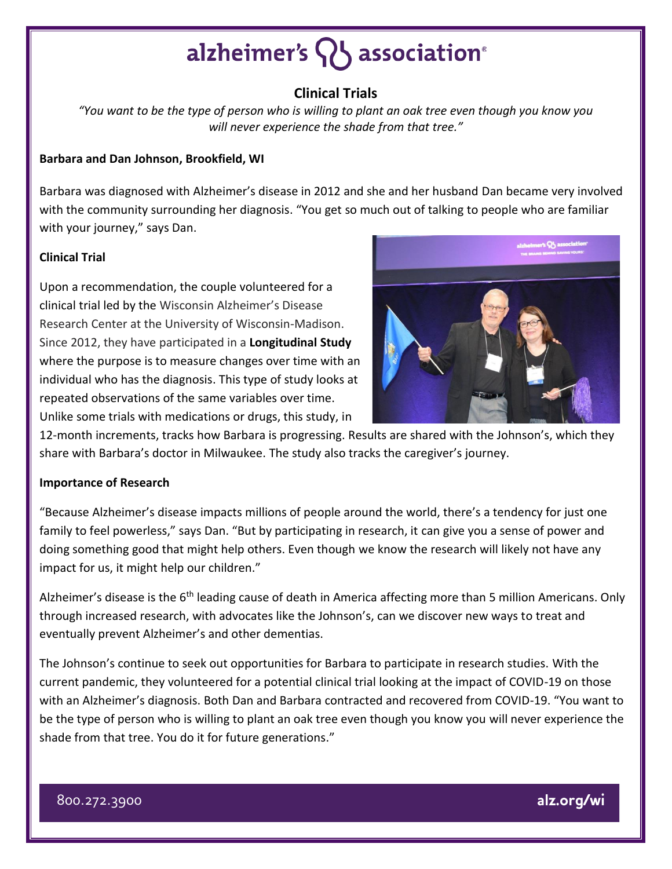# alzheimer's **Q** association<sup>®</sup>

## **Clinical Trials**

*"You want to be the type of person who is willing to plant an oak tree even though you know you will never experience the shade from that tree."*

### **Barbara and Dan Johnson, Brookfield, WI**

Barbara was diagnosed with Alzheimer's disease in 2012 and she and her husband Dan became very involved with the community surrounding her diagnosis. "You get so much out of talking to people who are familiar with your journey," says Dan.

### **Clinical Trial**

Upon a recommendation, the couple volunteered for a clinical trial led by the Wisconsin Alzheimer's Disease Research Center at the University of Wisconsin-Madison. Since 2012, they have participated in a **Longitudinal Study** where the purpose is to measure changes over time with an individual who has the diagnosis. This type of study looks at repeated observations of the same variables over time. Unlike some trials with medications or drugs, this study, in



12-month increments, tracks how Barbara is progressing. Results are shared with the Johnson's, which they share with Barbara's doctor in Milwaukee. The study also tracks the caregiver's journey.

#### **Importance of Research**

"Because Alzheimer's disease impacts millions of people around the world, there's a tendency for just one family to feel powerless," says Dan. "But by participating in research, it can give you a sense of power and doing something good that might help others. Even though we know the research will likely not have any impact for us, it might help our children."

Alzheimer's disease is the 6<sup>th</sup> leading cause of death in America affecting more than 5 million Americans. Only through increased research, with advocates like the Johnson's, can we discover new ways to treat and eventually prevent Alzheimer's and other dementias.

The Johnson's continue to seek out opportunities for Barbara to participate in research studies. With the current pandemic, they volunteered for a potential clinical trial looking at the impact of COVID-19 on those with an Alzheimer's diagnosis. Both Dan and Barbara contracted and recovered from COVID-19. "You want to be the type of person who is willing to plant an oak tree even though you know you will never experience the shade from that tree. You do it for future generations."